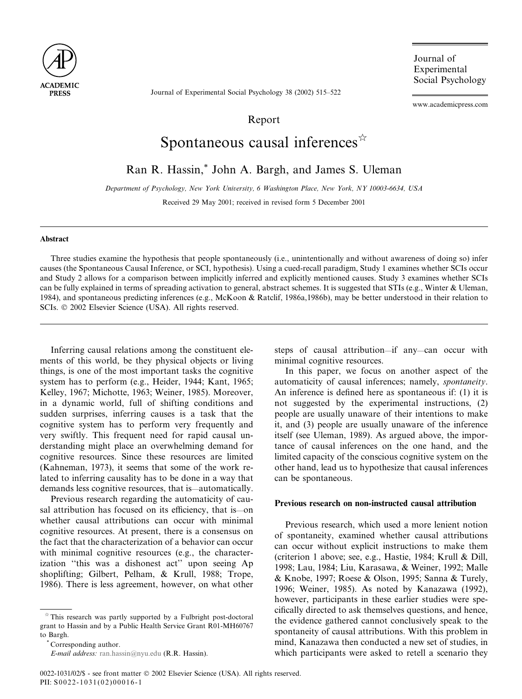

Journal of Experimental Social Psychology 38 (2002) 515–522

Journal of Experimental Social Psychology

www.academicpress.com

Report

# Spontaneous causal inferences $\vec{x}$

Ran R. Hassin,\* John A. Bargh, and James S. Uleman

Department of Psychology, New York University, 6 Washington Place, New York, NY 10003-6634, USA

Received 29 May2001; received in revised form 5 December 2001

#### Abstract

Three studies examine the hypothesis that people spontaneously (i.e., unintentionally and without awareness of doing so) infer causes (the Spontaneous Causal Inference, or SCI, hypothesis). Using a cued-recall paradigm, Study 1 examines whether SCIs occur and Study 2 allows for a comparison between implicitly inferred and explicitly mentioned causes. Study 3 examines whether SCIs can be fully explained in terms of spreading activation to general, abstract schemes. It is suggested that STIs (e.g., Winter & Uleman, 1984), and spontaneous predicting inferences (e.g., McKoon & Ratclif, 1986a,1986b), maybe better understood in their relation to SCIs.  $\odot$  2002 Elsevier Science (USA). All rights reserved.

Inferring causal relations among the constituent elements of this world, be they physical objects or living things, is one of the most important tasks the cognitive system has to perform (e.g., Heider, 1944; Kant, 1965; Kelley, 1967; Michotte, 1963; Weiner, 1985). Moreover, in a dynamic world, full of shifting conditions and sudden surprises, inferring causes is a task that the cognitive system has to perform very frequently and veryswiftly. This frequent need for rapid causal understanding might place an overwhelming demand for cognitive resources. Since these resources are limited (Kahneman, 1973), it seems that some of the work related to inferring causality has to be done in a way that demands less cognitive resources, that is—automatically.

Previous research regarding the automaticity of causal attribution has focused on its efficiency, that is—on whether causal attributions can occur with minimal cognitive resources. At present, there is a consensus on the fact that the characterization of a behavior can occur with minimal cognitive resources (e.g., the characterization ''this was a dishonest act'' upon seeing Ap shoplifting; Gilbert, Pelham, & Krull, 1988; Trope, 1986). There is less agreement, however, on what other

\* Corresponding author.

steps of causal attribution—if any—can occur with minimal cognitive resources.

In this paper, we focus on another aspect of the automaticity of causal inferences; namely, *spontaneity*. An inference is defined here as spontaneous if: (1) it is not suggested by the experimental instructions, (2) people are usually unaware of their intentions to make it, and (3) people are usually unaware of the inference itself (see Uleman, 1989). As argued above, the importance of causal inferences on the one hand, and the limited capacity of the conscious cognitive system on the other hand, lead us to hypothesize that causal inferences can be spontaneous.

## Previous research on non-instructed causal attribution

Previous research, which used a more lenient notion of spontaneity, examined whether causal attributions can occur without explicit instructions to make them (criterion 1 above; see, e.g., Hastie, 1984; Krull & Dill, 1998; Lau, 1984; Liu, Karasawa, & Weiner, 1992; Malle & Knobe, 1997; Roese & Olson, 1995; Sanna & Turely, 1996; Weiner, 1985). As noted by Kanazawa (1992), however, participants in these earlier studies were specifically directed to ask themselves questions, and hence, the evidence gathered cannot conclusively speak to the spontaneity of causal attributions. With this problem in mind, Kanazawa then conducted a new set of studies, in which participants were asked to retell a scenario they

 $*$  This research was partly supported by a Fulbright post-doctoral grant to Hassin and by a Public Health Service Grant R01-MH60767 to Bargh.

E-mail address: [ran.hassin@nyu.edu](mail to: ran.hassin@nyu.edu) (R.R. Hassin).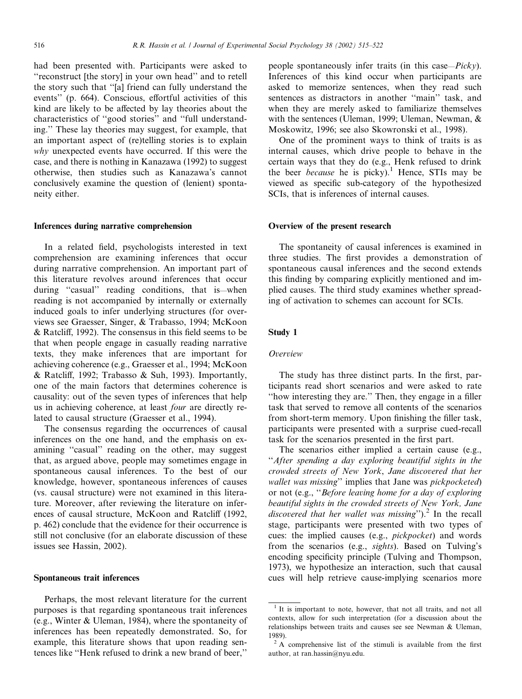had been presented with. Participants were asked to ''reconstruct [the story] in your own head'' and to retell the story such that "[a] friend can fully understand the events'' (p. 664). Conscious, effortful activities of this kind are likely to be affected by lay theories about the characteristics of ''good stories'' and ''full understanding." These lay theories may suggest, for example, that an important aspect of (re)telling stories is to explain why unexpected events have occurred. If this were the case, and there is nothing in Kanazawa (1992) to suggest otherwise, then studies such as Kanazawa's cannot conclusively examine the question of (lenient) spontaneity either.

#### Inferences during narrative comprehension

In a related field, psychologists interested in text comprehension are examining inferences that occur during narrative comprehension. An important part of this literature revolves around inferences that occur during "casual" reading conditions, that is—when reading is not accompanied by internally or externally induced goals to infer underlying structures (for overviews see Graesser, Singer, & Trabasso, 1994; McKoon & Ratcliff, 1992). The consensus in this field seems to be that when people engage in casually reading narrative texts, theymake inferences that are important for achieving coherence (e.g., Graesser et al., 1994; McKoon & Ratcliff, 1992; Trabasso & Suh, 1993). Importantly, one of the main factors that determines coherence is causality: out of the seven types of inferences that help us in achieving coherence, at least *four* are directly related to causal structure (Graesser et al., 1994).

The consensus regarding the occurrences of causal inferences on the one hand, and the emphasis on examining "casual" reading on the other, may suggest that, as argued above, people maysometimes engage in spontaneous causal inferences. To the best of our knowledge, however, spontaneous inferences of causes (vs. causal structure) were not examined in this literature. Moreover, after reviewing the literature on inferences of causal structure, McKoon and Ratcliff (1992, p. 462) conclude that the evidence for their occurrence is still not conclusive (for an elaborate discussion of these issues see Hassin, 2002).

## Spontaneous trait inferences

Perhaps, the most relevant literature for the current purposes is that regarding spontaneous trait inferences (e.g., Winter  $& U$ leman, 1984), where the spontaneity of inferences has been repeatedly demonstrated. So, for example, this literature shows that upon reading sentences like ''Henk refused to drink a new brand of beer,''

people spontaneously infer traits (in this case— $Picky$ ). Inferences of this kind occur when participants are asked to memorize sentences, when they read such sentences as distractors in another ''main'' task, and when they are merely asked to familiarize themselves with the sentences (Uleman, 1999; Uleman, Newman, & Moskowitz, 1996; see also Skowronski et al., 1998).

One of the prominent ways to think of traits is as internal causes, which drive people to behave in the certain ways that they do (e.g., Henk refused to drink the beer *because* he is picky).<sup>1</sup> Hence, STIs may be viewed as specific sub-category of the hypothesized SCIs, that is inferences of internal causes.

## Overview of the present research

The spontaneity of causal inferences is examined in three studies. The first provides a demonstration of spontaneous causal inferences and the second extends this finding by comparing explicitly mentioned and implied causes. The third study examines whether spreading of activation to schemes can account for SCIs.

#### Study 1

#### **Overview**

The study has three distinct parts. In the first, participants read short scenarios and were asked to rate "how interesting they are." Then, they engage in a filler task that served to remove all contents of the scenarios from short-term memory. Upon finishing the filler task, participants were presented with a surprise cued-recall task for the scenarios presented in the first part.

The scenarios either implied a certain cause (e.g., ''After spending a day exploring beautiful sights in the crowded streets of New York, Jane discovered that her wallet was missing" implies that Jane was *pickpocketed*) or not (e.g., ''Before leaving home for a day of exploring beautiful sights in the crowded streets of New York, Jane discovered that her wallet was missing").<sup>2</sup> In the recall stage, participants were presented with two types of cues: the implied causes (e.g., pickpocket) and words from the scenarios (e.g., sights). Based on Tulving's encoding specificity principle (Tulving and Thompson, 1973), we hypothesize an interaction, such that causal cues will help retrieve cause-implying scenarios more

<sup>&</sup>lt;sup>1</sup> It is important to note, however, that not all traits, and not all contexts, allow for such interpretation (for a discussion about the relationships between traits and causes see see Newman & Uleman, 1989).

<sup>&</sup>lt;sup>2</sup> A comprehensive list of the stimuli is available from the first author, at ran.hassin@nyu.edu.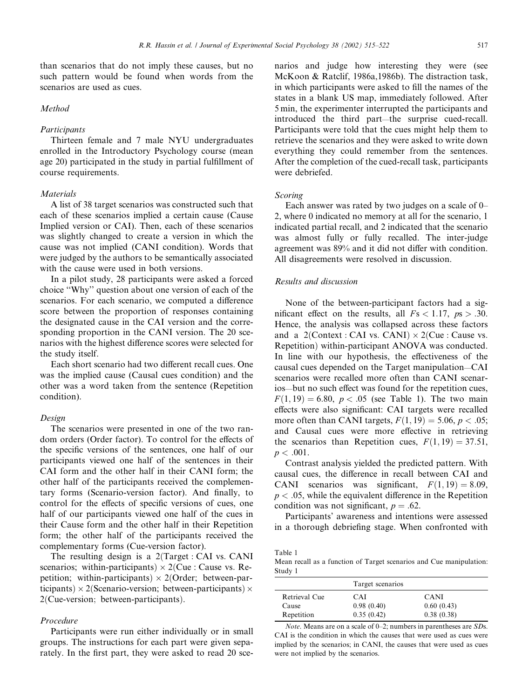than scenarios that do not imply these causes, but no such pattern would be found when words from the scenarios are used as cues.

## Method

#### **Participants**

Thirteen female and 7 male NYU undergraduates enrolled in the Introductory Psychology course (mean age 20) participated in the study in partial fulfillment of course requirements.

#### **Materials**

A list of 38 target scenarios was constructed such that each of these scenarios implied a certain cause (Cause Implied version or CAI). Then, each of these scenarios was slightly changed to create a version in which the cause was not implied (CANI condition). Words that were judged by the authors to be semantically associated with the cause were used in both versions.

In a pilot study, 28 participants were asked a forced choice ''Why'' question about one version of each of the scenarios. For each scenario, we computed a difference score between the proportion of responses containing the designated cause in the CAI version and the corresponding proportion in the CANI version. The 20 scenarios with the highest difference scores were selected for the study itself.

Each short scenario had two different recall cues. One was the implied cause (Causal cues condition) and the other was a word taken from the sentence (Repetition condition).

#### Design

The scenarios were presented in one of the two random orders (Order factor). To control for the effects of the specific versions of the sentences, one half of our participants viewed one half of the sentences in their CAI form and the other half in their CANI form; the other half of the participants received the complementary forms (Scenario-version factor). And finally, to control for the effects of specific versions of cues, one half of our participants viewed one half of the cues in their Cause form and the other half in their Repetition form; the other half of the participants received the complementary forms (Cue-version factor).

The resulting design is a  $2$ (Target : CAI vs. CANI scenarios; within-participants)  $\times$  2(Cue : Cause vs. Repetition; within-participants)  $\times$  2(Order; between-participants)  $\times$  2(Scenario-version; between-participants)  $\times$ 2(Cue-version; between-participants).

#### Procedure

Participants were run either individually or in small groups. The instructions for each part were given separately. In the first part, they were asked to read 20 sce-

narios and judge how interesting they were (see McKoon & Ratclif, 1986a,1986b). The distraction task, in which participants were asked to fill the names of the states in a blank US map, immediately followed. After 5 min, the experimenter interrupted the participants and introduced the third part—the surprise cued-recall. Participants were told that the cues might help them to retrieve the scenarios and theywere asked to write down everything they could remember from the sentences. After the completion of the cued-recall task, participants were debriefed.

#### Scoring

Table 1

Each answer was rated by two judges on a scale of 0– 2, where 0 indicated no memoryat all for the scenario, 1 indicated partial recall, and 2 indicated that the scenario was almost fully or fully recalled. The inter-judge agreement was 89% and it did not differ with condition. All disagreements were resolved in discussion.

## Results and discussion

None of the between-participant factors had a significant effect on the results, all  $Fs < 1.17$ ,  $ps > .30$ . Hence, the analysis was collapsed across these factors and a 2(Context : CAI vs. CANI)  $\times$  2(Cue : Cause vs. Repetition) within-participant ANOVA was conducted. In line with our hypothesis, the effectiveness of the causal cues depended on the Target manipulation—CAI scenarios were recalled more often than CANI scenarios—but no such effect was found for the repetition cues,  $F(1, 19) = 6.80, p < .05$  (see Table 1). The two main effects were also significant: CAI targets were recalled more often than CANI targets,  $F(1, 19) = 5.06$ ,  $p < .05$ ; and Causal cues were more effective in retrieving the scenarios than Repetition cues,  $F(1, 19) = 37.51$ ,  $p < .001$ .

Contrast analysis yielded the predicted pattern. With causal cues, the difference in recall between CAI and CANI scenarios was significant,  $F(1, 19) = 8.09$ ,  $p < .05$ , while the equivalent difference in the Repetition condition was not significant,  $p = .62$ .

Participants' awareness and intentions were assessed in a thorough debriefing stage. When confronted with

Mean recall as a function of Target scenarios and Cue manipulation: Study 1

|               | Target scenarios |             |  |
|---------------|------------------|-------------|--|
| Retrieval Cue | CAI              | <b>CANI</b> |  |
| Cause         | 0.98(0.40)       | 0.60(0.43)  |  |
| Repetition    | 0.35(0.42)       | 0.38(0.38)  |  |

Note. Means are on a scale of 0–2; numbers in parentheses are SDs. CAI is the condition in which the causes that were used as cues were implied by the scenarios; in CANI, the causes that were used as cues were not implied by the scenarios.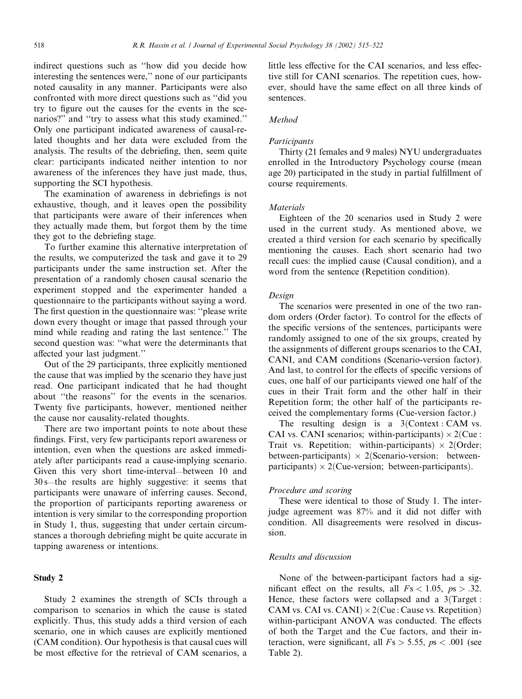indirect questions such as ''how did you decide how interesting the sentences were,'' none of our participants noted causality in any manner. Participants were also confronted with more direct questions such as ''did you try to figure out the causes for the events in the scenarios?" and "try to assess what this study examined." Only one participant indicated awareness of causal-related thoughts and her data were excluded from the analysis. The results of the debriefing, then, seem quite clear: participants indicated neither intention to nor awareness of the inferences they have just made, thus, supporting the SCI hypothesis.

The examination of awareness in debriefings is not exhaustive, though, and it leaves open the possibility that participants were aware of their inferences when they actually made them, but forgot them by the time they got to the debriefing stage.

To further examine this alternative interpretation of the results, we computerized the task and gave it to 29 participants under the same instruction set. After the presentation of a randomlychosen causal scenario the experiment stopped and the experimenter handed a questionnaire to the participants without saying a word. The first question in the questionnaire was: ''please write down everythought or image that passed through your mind while reading and rating the last sentence.'' The second question was: ''what were the determinants that affected your last judgment.''

Out of the 29 participants, three explicitly mentioned the cause that was implied by the scenario they have just read. One participant indicated that he had thought about ''the reasons'' for the events in the scenarios. Twenty five participants, however, mentioned neither the cause nor causality-related thoughts.

There are two important points to note about these findings. First, very few participants report awareness or intention, even when the questions are asked immediatelyafter participants read a cause-implying scenario. Given this very short time-interval—between 10 and  $30 s$ —the results are highly suggestive: it seems that participants were unaware of inferring causes. Second, the proportion of participants reporting awareness or intention is verysimilar to the corresponding proportion in Study1, thus, suggesting that under certain circumstances a thorough debriefing might be quite accurate in tapping awareness or intentions.

## Study 2

Study2 examines the strength of SCIs through a comparison to scenarios in which the cause is stated explicitly. Thus, this study adds a third version of each scenario, one in which causes are explicitly mentioned (CAM condition). Our hypothesis is that causal cues will be most effective for the retrieval of CAM scenarios, a

little less effective for the CAI scenarios, and less effective still for CANI scenarios. The repetition cues, however, should have the same effect on all three kinds of sentences.

## Method

#### Participants

Thirty(21 females and 9 males) NYU undergraduates enrolled in the Introductory Psychology course (mean age 20) participated in the study in partial fulfillment of course requirements.

#### **Materials**

Eighteen of the 20 scenarios used in Study2 were used in the current study. As mentioned above, we created a third version for each scenario by specifically mentioning the causes. Each short scenario had two recall cues: the implied cause (Causal condition), and a word from the sentence (Repetition condition).

## Design

The scenarios were presented in one of the two random orders (Order factor). To control for the effects of the specific versions of the sentences, participants were randomly assigned to one of the six groups, created by the assignments of different groups scenarios to the CAI, CANI, and CAM conditions (Scenario-version factor). And last, to control for the effects of specific versions of cues, one half of our participants viewed one half of the cues in their Trait form and the other half in their Repetition form; the other half of the participants received the complementary forms (Cue-version factor.)

The resulting design is a  $3$ (Context : CAM vs. CAI vs. CANI scenarios; within-participants)  $\times$  2(Cue : Trait vs. Repetition; within-participants)  $\times$  2(Order; between-participants)  $\times$  2(Scenario-version; betweenparticipants)  $\times$  2(Cue-version; between-participants).

#### Procedure and scoring

These were identical to those of Study 1. The interjudge agreement was 87% and it did not differ with condition. All disagreements were resolved in discussion.

## Results and discussion

None of the between-participant factors had a significant effect on the results, all  $Fs < 1.05$ ,  $ps > .32$ . Hence, these factors were collapsed and a  $3$ (Target : CAM vs. CAI vs. CANI $\rangle \times 2$ (Cue : Cause vs. Repetition) within-participant ANOVA was conducted. The effects of both the Target and the Cue factors, and their interaction, were significant, all  $Fs > 5.55$ ,  $ps < .001$  (see Table 2).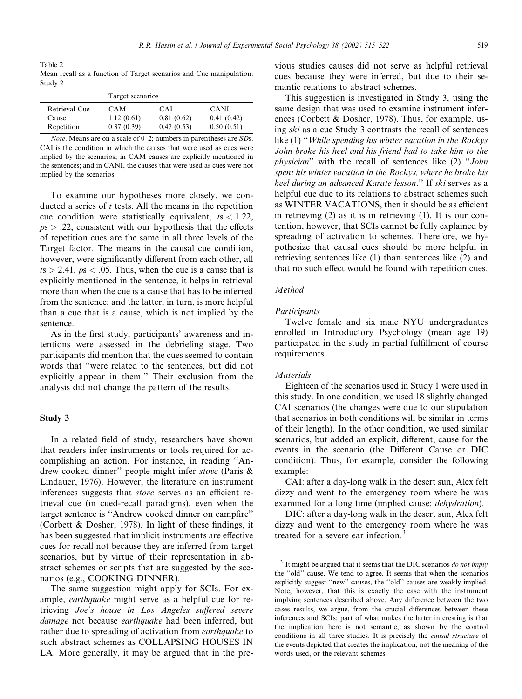Table 2 Mean recall as a function of Target scenarios and Cue manipulation: Study 2

|               |            | Target scenarios |             |  |  |
|---------------|------------|------------------|-------------|--|--|
| Retrieval Cue | <b>CAM</b> | <b>CAI</b>       | <b>CANI</b> |  |  |
| Cause         | 1.12(0.61) | 0.81(0.62)       | 0.41(0.42)  |  |  |
| Repetition    | 0.37(0.39) | 0.47(0.53)       | 0.50(0.51)  |  |  |

Note. Means are on a scale of 0–2; numbers in parentheses are SDs. CAI is the condition in which the causes that were used as cues were implied by the scenarios; in CAM causes are explicitly mentioned in the sentences; and in CANI, the causes that were used as cues were not implied by the scenarios.

To examine our hypotheses more closely, we conducted a series of  $t$  tests. All the means in the repetition cue condition were statistically equivalent,  $ts < 1.22$ ,  $ps > .22$ , consistent with our hypothesis that the effects of repetition cues are the same in all three levels of the Target factor. The means in the causal cue condition, however, were significantly different from each other, all  $ts > 2.41$ ,  $ps < .05$ . Thus, when the cue is a cause that is explicitlymentioned in the sentence, it helps in retrieval more than when the cue is a cause that has to be inferred from the sentence; and the latter, in turn, is more helpful than a cue that is a cause, which is not implied by the sentence.

As in the first study, participants' awareness and intentions were assessed in the debriefing stage. Two participants did mention that the cues seemed to contain words that ''were related to the sentences, but did not explicitly appear in them." Their exclusion from the analysis did not change the pattern of the results.

#### Study 3

In a related field of study, researchers have shown that readers infer instruments or tools required for accomplishing an action. For instance, in reading ''Andrew cooked dinner" people might infer stove (Paris & Lindauer, 1976). However, the literature on instrument inferences suggests that stove serves as an efficient retrieval cue (in cued-recall paradigms), even when the target sentence is ''Andrew cooked dinner on campfire'' (Corbett & Dosher, 1978). In light of these findings, it has been suggested that implicit instruments are effective cues for recall not because they are inferred from target scenarios, but by virtue of their representation in abstract schemes or scripts that are suggested by the scenarios (e.g., COOKING DINNER).

The same suggestion might apply for SCIs. For example, *earthquake* might serve as a helpful cue for retrieving Joe's house in Los Angeles suffered severe damage not because *earthquake* had been inferred, but rather due to spreading of activation from *earthquake* to such abstract schemes as COLLAPSING HOUSES IN LA. More generally, it may be argued that in the previous studies causes did not serve as helpful retrieval cues because they were inferred, but due to their semantic relations to abstract schemes.

This suggestion is investigated in Study 3, using the same design that was used to examine instrument inferences (Corbett & Dosher, 1978). Thus, for example, using ski as a cue Study 3 contrasts the recall of sentences like (1) "While spending his winter vacation in the Rockys John broke his heel and his friend had to take him to the physician'' with the recall of sentences like (2) ''John spent his winter vacation in the Rockys, where he broke his heel during an advanced Karate lesson.'' If ski serves as a helpful cue due to its relations to abstract schemes such as WINTER VACATIONS, then it should be as efficient in retrieving (2) as it is in retrieving (1). It is our contention, however, that SCIs cannot be fully explained by spreading of activation to schemes. Therefore, we hypothesize that causal cues should be more helpful in retrieving sentences like (1) than sentences like (2) and that no such effect would be found with repetition cues.

## Method

#### **Participants**

Twelve female and six male NYU undergraduates enrolled in Introductory Psychology (mean age 19) participated in the study in partial fulfillment of course requirements.

#### **Materials**

Eighteen of the scenarios used in Study1 were used in this study. In one condition, we used 18 slightly changed CAI scenarios (the changes were due to our stipulation that scenarios in both conditions will be similar in terms of their length). In the other condition, we used similar scenarios, but added an explicit, different, cause for the events in the scenario (the Different Cause or DIC condition). Thus, for example, consider the following example:

CAI: after a day-long walk in the desert sun, Alex felt dizzy and went to the emergency room where he was examined for a long time (implied cause: *dehydration*).

DIC: after a day-long walk in the desert sun, Alex felt dizzy and went to the emergency room where he was treated for a severe ear infection.

 $3$  It might be argued that it seems that the DIC scenarios do not imply the ''old'' cause. We tend to agree. It seems that when the scenarios explicitly suggest "new" causes, the "old" causes are weakly implied. Note, however, that this is exactly the case with the instrument implying sentences described above. Any difference between the two cases results, we argue, from the crucial differences between these inferences and SCIs: part of what makes the latter interesting is that the implication here is not semantic, as shown by the control conditions in all three studies. It is precisely the *causal structure* of the events depicted that creates the implication, not the meaning of the words used, or the relevant schemes.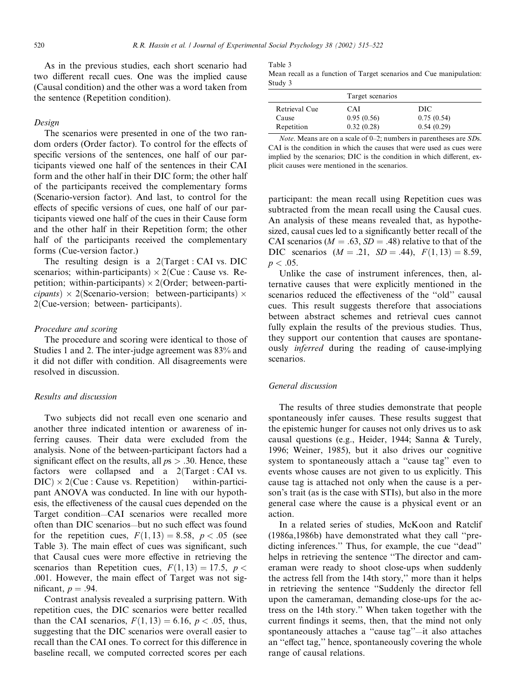As in the previous studies, each short scenario had two different recall cues. One was the implied cause (Causal condition) and the other was a word taken from the sentence (Repetition condition).

#### Design

The scenarios were presented in one of the two random orders (Order factor). To control for the effects of specific versions of the sentences, one half of our participants viewed one half of the sentences in their CAI form and the other half in their DIC form; the other half of the participants received the complementary forms (Scenario-version factor). And last, to control for the effects of specific versions of cues, one half of our participants viewed one half of the cues in their Cause form and the other half in their Repetition form; the other half of the participants received the complementary forms (Cue-version factor.)

The resulting design is a  $2$ (Target : CAI vs. DIC scenarios; within-participants)  $\times$  2(Cue : Cause vs. Repetition; within-participants)  $\times$  2(Order; between-participants)  $\times$  2(Scenario-version; between-participants)  $\times$ 2(Cue-version; between- participants).

## Procedure and scoring

The procedure and scoring were identical to those of Studies 1 and 2. The inter-judge agreement was 83% and it did not differ with condition. All disagreements were resolved in discussion.

## Results and discussion

Two subjects did not recall even one scenario and another three indicated intention or awareness of inferring causes. Their data were excluded from the analysis. None of the between-participant factors had a significant effect on the results, all  $ps > .30$ . Hence, these factors were collapsed and a  $2$ (Target : CAI vs.  $DIC \times 2$ (Cue : Cause vs. Repetition) within-participant ANOVA was conducted. In line with our hypothesis, the effectiveness of the causal cues depended on the Target condition—CAI scenarios were recalled more often than DIC scenarios—but no such effect was found for the repetition cues,  $F(1, 13) = 8.58$ ,  $p < .05$  (see Table 3). The main effect of cues was significant, such that Causal cues were more effective in retrieving the scenarios than Repetition cues,  $F(1, 13) = 17.5$ ,  $p <$ :001. However, the main effect of Target was not significant,  $p = .94$ .

Contrast analysis revealed a surprising pattern. With repetition cues, the DIC scenarios were better recalled than the CAI scenarios,  $F(1, 13) = 6.16$ ,  $p < .05$ , thus, suggesting that the DIC scenarios were overall easier to recall than the CAI ones. To correct for this difference in baseline recall, we computed corrected scores per each

Table 3 Mean recall as a function of Target scenarios and Cue manipulation: Study 3

|               | Target scenarios |            |  |  |  |
|---------------|------------------|------------|--|--|--|
| Retrieval Cue | CAI              | DIC        |  |  |  |
| Cause         | 0.95(0.56)       | 0.75(0.54) |  |  |  |
| Repetition    | 0.32(0.28)       | 0.54(0.29) |  |  |  |

Note. Means are on a scale of 0–2; numbers in parentheses are SDs. CAI is the condition in which the causes that were used as cues were implied by the scenarios; DIC is the condition in which different, explicit causes were mentioned in the scenarios.

participant: the mean recall using Repetition cues was subtracted from the mean recall using the Causal cues. An analysis of these means revealed that, as hypothesized, causal cues led to a significantly better recall of the CAI scenarios ( $M = .63$ ,  $SD = .48$ ) relative to that of the DIC scenarios  $(M = .21, SD = .44), F(1, 13) = 8.59,$  $p < .05$ .

Unlike the case of instrument inferences, then, alternative causes that were explicitlymentioned in the scenarios reduced the effectiveness of the ''old'' causal cues. This result suggests therefore that associations between abstract schemes and retrieval cues cannot fully explain the results of the previous studies. Thus, they support our contention that causes are spontaneously inferred during the reading of cause-implying scenarios.

## General discussion

The results of three studies demonstrate that people spontaneously infer causes. These results suggest that the epistemic hunger for causes not onlydrives us to ask causal questions (e.g., Heider, 1944; Sanna & Turely, 1996; Weiner, 1985), but it also drives our cognitive system to spontaneously attach a ''cause tag'' even to events whose causes are not given to us explicitly. This cause tag is attached not onlywhen the cause is a person's trait (as is the case with STIs), but also in the more general case where the cause is a physical event or an action.

In a related series of studies, McKoon and Ratclif (1986a,1986b) have demonstrated what theycall ''predicting inferences.'' Thus, for example, the cue ''dead'' helps in retrieving the sentence "The director and cameraman were ready to shoot close-ups when suddenly the actress fell from the 14th story,'' more than it helps in retrieving the sentence "Suddenly the director fell upon the cameraman, demanding close-ups for the actress on the 14th story.'' When taken together with the current findings it seems, then, that the mind not only spontaneouslyattaches a ''cause tag''—it also attaches an "effect tag," hence, spontaneously covering the whole range of causal relations.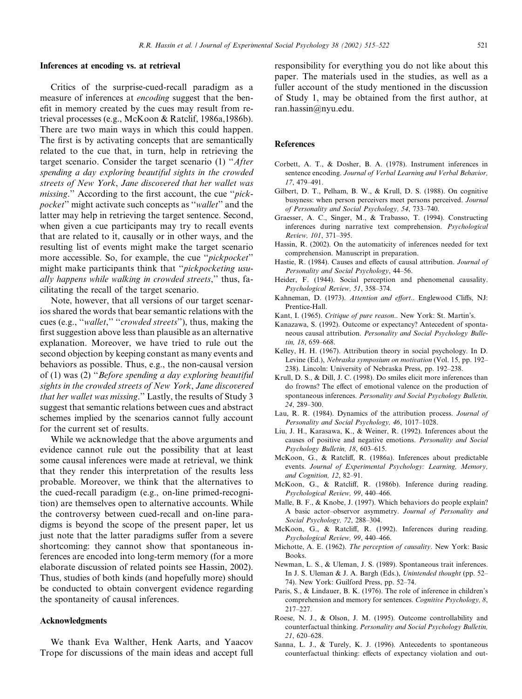### Inferences at encoding vs. at retrieval

Critics of the surprise-cued-recall paradigm as a measure of inferences at *encoding* suggest that the benefit in memory created by the cues may result from retrieval processes (e.g., McKoon & Ratclif, 1986a,1986b). There are two main ways in which this could happen. The first is by activating concepts that are semantically related to the cue that, in turn, help in retrieving the target scenario. Consider the target scenario (1) ''After spending a day exploring beautiful sights in the crowded streets of New York, Jane discovered that her wallet was missing." According to the first account, the cue "*pick*pocket'' might activate such concepts as ''wallet'' and the latter may help in retrieving the target sentence. Second, when given a cue participants may try to recall events that are related to it, causallyor in other ways, and the resulting list of events might make the target scenario more accessible. So, for example, the cue "*pickpocket*" might make participants think that "pickpocketing usually happens while walking in crowded streets,'' thus, facilitating the recall of the target scenario.

Note, however, that all versions of our target scenarios shared the words that bear semantic relations with the cues (e.g., "wallet," "crowded streets"), thus, making the first suggestion above less than plausible as an alternative explanation. Moreover, we have tried to rule out the second objection by keeping constant as many events and behaviors as possible. Thus, e.g., the non-causal version of (1) was (2) ''Before spending a day exploring beautiful sights in the crowded streets of New York, Jane discovered that her wallet was missing.'' Lastly, the results of Study 3 suggest that semantic relations between cues and abstract schemes implied by the scenarios cannot fully account for the current set of results.

While we acknowledge that the above arguments and evidence cannot rule out the possibility that at least some causal inferences were made at retrieval, we think that they render this interpretation of the results less probable. Moreover, we think that the alternatives to the cued-recall paradigm (e.g., on-line primed-recognition) are themselves open to alternative accounts. While the controversy between cued-recall and on-line paradigms is beyond the scope of the present paper, let us just note that the latter paradigms suffer from a severe shortcoming: they cannot show that spontaneous inferences are encoded into long-term memory(for a more elaborate discussion of related points see Hassin, 2002). Thus, studies of both kinds (and hopefully more) should be conducted to obtain convergent evidence regarding the spontaneity of causal inferences.

#### Acknowledgments

We thank Eva Walther, Henk Aarts, and Yaacov Trope for discussions of the main ideas and accept full responsibility for everything you do not like about this paper. The materials used in the studies, as well as a fuller account of the study mentioned in the discussion of Study1, maybe obtained from the first author, at ran.hassin@nyu.edu.

#### **References**

- Corbett, A. T., & Dosher, B. A. (1978). Instrument inferences in sentence encoding. Journal of Verbal Learning and Verbal Behavior, 17, 479–491.
- Gilbert, D. T., Pelham, B. W., & Krull, D. S. (1988). On cognitive busyness: when person perceivers meet persons perceived. Journal of Personality and Social Psychology, 54, 733–740.
- Graesser, A. C., Singer, M., & Trabasso, T. (1994). Constructing inferences during narrative text comprehension. Psychological Review, 101, 371–395.
- Hassin, R. (2002). On the automaticity of inferences needed for text comprehension. Manuscript in preparation.
- Hastie, R. (1984). Causes and effects of causal attribution. Journal of Personality and Social Psychology, 44–56.
- Heider, F. (1944). Social perception and phenomenal causality. Psychological Review, 51, 358–374.
- Kahneman, D. (1973). Attention and effort.. Englewood Cliffs, NJ: Prentice-Hall.
- Kant, I. (1965). Critique of pure reason.. New York: St. Martin's.
- Kanazawa, S. (1992). Outcome or expectancy? Antecedent of spontaneous causal attribution. Personality and Social Psychology Bulletin, 18, 659-668.
- Kelley, H. H. (1967). Attribution theory in social psychology. In D. Levine (Ed.), Nebraska symposium on motivation (Vol. 15, pp. 192– 238). Lincoln: Universityof Nebraska Press, pp. 192–238.
- Krull, D. S., & Dill, J. C. (1998). Do smiles elicit more inferences than do frowns? The effect of emotional valence on the production of spontaneous inferences. Personality and Social Psychology Bulletin, 24, 289–300.
- Lau, R. R. (1984). Dynamics of the attribution process. Journal of Personality and Social Psychology, 46, 1017–1028.
- Liu, J. H., Karasawa, K., & Weiner, R. (1992). Inferences about the causes of positive and negative emotions. Personality and Social Psychology Bulletin, 18, 603–615.
- McKoon, G., & Ratcliff, R. (1986a). Inferences about predictable events. Journal of Experimental Psychology: Learning, Memory, and Cognition, 12, 82–91.
- McKoon, G., & Ratcliff, R. (1986b). Inference during reading. Psychological Review, 99, 440–466.
- Malle, B. F., & Knobe, J. (1997). Which behaviors do people explain? A basic actor–observor asymmetry. Journal of Personality and Social Psychology, 72, 288–304.
- McKoon, G., & Ratcliff, R. (1992). Inferences during reading. Psychological Review, 99, 440–466.
- Michotte, A. E. (1962). The perception of causality. New York: Basic Books.
- Newman, L. S., & Uleman, J. S. (1989). Spontaneous trait inferences. In J. S. Uleman & J. A. Bargh (Eds.), Unintended thought (pp. 52– 74). New York: Guilford Press, pp. 52–74.
- Paris, S., & Lindauer, B. K. (1976). The role of inference in children's comprehension and memory for sentences. Cognitive Psychology, 8, 217–227.
- Roese, N. J., & Olson, J. M. (1995). Outcome controllability and counterfactual thinking. Personality and Social Psychology Bulletin, 21, 620–628.
- Sanna, L. J., & Turely, K. J. (1996). Antecedents to spontaneous counterfactual thinking: effects of expectancy violation and out-